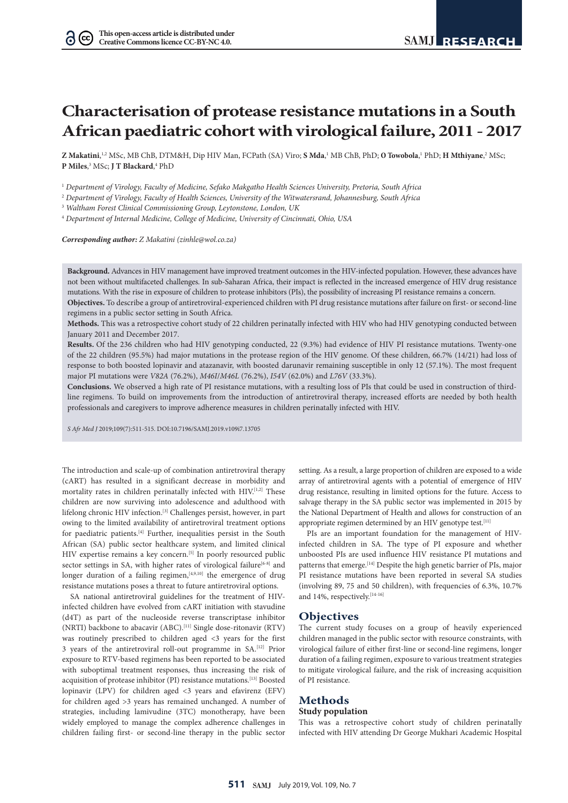# **Characterisation of protease resistance mutations in a South African paediatric cohort with virological failure, 2011 - 2017**

**Z Makatini,**<sup>1,2</sup> MSc, MB ChB, DTM&H, Dip HIV Man, FCPath (SA) Viro; **S Mda**,<sup>1</sup> MB ChB, PhD; **O Towobola**,<sup>1</sup> PhD; **H Mthiyane**,<sup>2</sup> MSc; **P Miles**, 3 MSc; **J T Blackard**, 4 PhD

<sup>1</sup> *Department of Virology, Faculty of Medicine, Sefako Makgatho Health Sciences University, Pretoria, South Africa*

<sup>2</sup> *Department of Virology, Faculty of Health Sciences, University of the Witwatersrand, Johannesburg, South Africa*

<sup>3</sup> *Waltham Forest Clinical Commissioning Group, Leytonstone, London, UK*

<sup>4</sup> *Department of Internal Medicine, College of Medicine, University of Cincinnati, Ohio, USA*

*Corresponding author: Z Makatini (zinhle@wol.co.za)*

**Background.** Advances in HIV management have improved treatment outcomes in the HIV-infected population. However, these advances have not been without multifaceted challenges. In sub-Saharan Africa, their impact is reflected in the increased emergence of HIV drug resistance mutations. With the rise in exposure of children to protease inhibitors (PIs), the possibility of increasing PI resistance remains a concern.

**Objectives.** To describe a group of antiretroviral-experienced children with PI drug resistance mutations after failure on first- or second-line regimens in a public sector setting in South Africa.

**Methods.** This was a retrospective cohort study of 22 children perinatally infected with HIV who had HIV genotyping conducted between January 2011 and December 2017.

**Results.** Of the 236 children who had HIV genotyping conducted, 22 (9.3%) had evidence of HIV PI resistance mutations. Twenty-one of the 22 children (95.5%) had major mutations in the protease region of the HIV genome. Of these children, 66.7% (14/21) had loss of response to both boosted lopinavir and atazanavir, with boosted darunavir remaining susceptible in only 12 (57.1%). The most frequent major PI mutations were *V82A* (76.2%), *M46I*/*M46L* (76.2%), *I54V* (62.0%) and *L76V* (33.3%).

**Conclusions.** We observed a high rate of PI resistance mutations, with a resulting loss of PIs that could be used in construction of thirdline regimens. To build on improvements from the introduction of antiretroviral therapy, increased efforts are needed by both health professionals and caregivers to improve adherence measures in children perinatally infected with HIV.

*S Afr Med J* 2019;109(7):511-515. DOI:10.7196/SAMJ.2019.v109i7.13705

The introduction and scale-up of combination antiretroviral therapy (cART) has resulted in a significant decrease in morbidity and mortality rates in children perinatally infected with HIV.[1,2] These children are now surviving into adolescence and adulthood with lifelong chronic HIV infection.[3] Challenges persist, however, in part owing to the limited availability of antiretroviral treatment options for paediatric patients.[4] Further, inequalities persist in the South African (SA) public sector healthcare system, and limited clinical HIV expertise remains a key concern.<sup>[5]</sup> In poorly resourced public sector settings in SA, with higher rates of virological failure<sup>[6-8]</sup> and longer duration of a failing regimen,  $[4,9,10]$  the emergence of drug resistance mutations poses a threat to future antiretroviral options.

SA national antiretroviral guidelines for the treatment of HIVinfected children have evolved from cART initiation with stavudine (d4T) as part of the nucleoside reverse transcriptase inhibitor (NRTI) backbone to abacavir (ABC).<sup>[11]</sup> Single dose-ritonavir (RTV) was routinely prescribed to children aged <3 years for the first 3 years of the antiretroviral roll-out programme in SA.[12] Prior exposure to RTV-based regimens has been reported to be associated with suboptimal treatment responses, thus increasing the risk of acquisition of protease inhibitor (PI) resistance mutations.  $\rm ^{[13]}$  Boosted lopinavir (LPV) for children aged <3 years and efavirenz (EFV) for children aged >3 years has remained unchanged. A number of strategies, including lamivudine (3TC) monotherapy, have been widely employed to manage the complex adherence challenges in children failing first- or second-line therapy in the public sector

setting. As a result, a large proportion of children are exposed to a wide array of antiretroviral agents with a potential of emergence of HIV drug resistance, resulting in limited options for the future. Access to salvage therapy in the SA public sector was implemented in 2015 by the National Department of Health and allows for construction of an appropriate regimen determined by an HIV genotype test.<sup>[11]</sup>

PIs are an important foundation for the management of HIVinfected children in SA. The type of PI exposure and whether unboosted PIs are used influence HIV resistance PI mutations and patterns that emerge.<sup>[14]</sup> Despite the high genetic barrier of PIs, major PI resistance mutations have been reported in several SA studies (involving 89, 75 and 50 children), with frequencies of 6.3%, 10.7% and 14%, respectively.<sup>[14-16]</sup>

## **Objectives**

The current study focuses on a group of heavily experienced children managed in the public sector with resource constraints, with virological failure of either first-line or second-line regimens, longer duration of a failing regimen, exposure to various treatment strategies to mitigate virological failure, and the risk of increasing acquisition of PI resistance.

## **Methods Study population**

This was a retrospective cohort study of children perinatally infected with HIV attending Dr George Mukhari Academic Hospital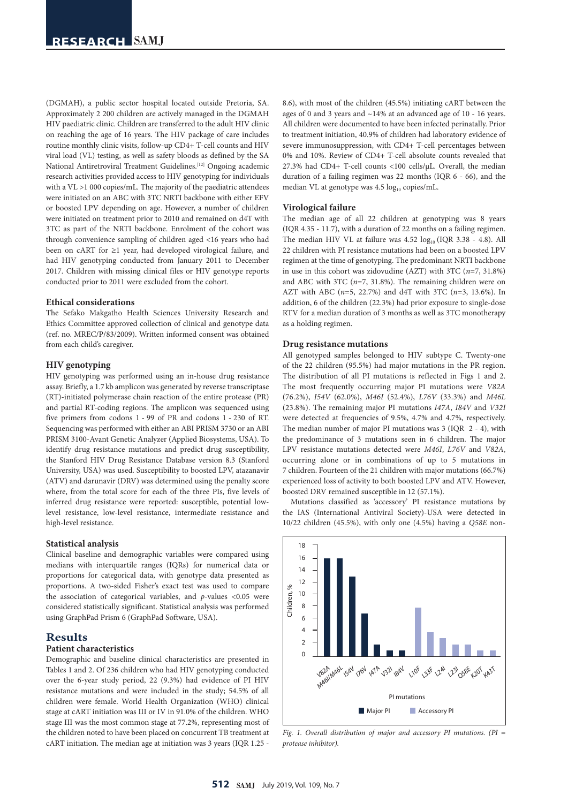(DGMAH), a public sector hospital located outside Pretoria, SA. Approximately 2 200 children are actively managed in the DGMAH HIV paediatric clinic. Children are transferred to the adult HIV clinic on reaching the age of 16 years. The HIV package of care includes routine monthly clinic visits, follow-up CD4+ T-cell counts and HIV viral load (VL) testing, as well as safety bloods as defined by the SA National Antiretroviral Treatment Guidelines.[12] Ongoing academic research activities provided access to HIV genotyping for individuals with a VL >1 000 copies/mL. The majority of the paediatric attendees were initiated on an ABC with 3TC NRTI backbone with either EFV or boosted LPV depending on age. However, a number of children were initiated on treatment prior to 2010 and remained on d4T with 3TC as part of the NRTI backbone. Enrolment of the cohort was through convenience sampling of children aged <16 years who had been on cART for ≥1 year, had developed virological failure, and had HIV genotyping conducted from January 2011 to December 2017. Children with missing clinical files or HIV genotype reports conducted prior to 2011 were excluded from the cohort.

## **Ethical considerations**

The Sefako Makgatho Health Sciences University Research and Ethics Committee approved collection of clinical and genotype data (ref. no. MREC/P/83/2009). Written informed consent was obtained from each child's caregiver.

## **HIV genotyping**

HIV genotyping was performed using an in-house drug resistance assay. Briefly, a 1.7 kb amplicon was generated by reverse transcriptase (RT)-initiated polymerase chain reaction of the entire protease (PR) and partial RT-coding regions. The amplicon was sequenced using five primers from codons 1 - 99 of PR and codons 1 - 230 of RT. Sequencing was performed with either an ABI PRISM 3730 or an ABI PRISM 3100-Avant Genetic Analyzer (Applied Biosystems, USA). To identify drug resistance mutations and predict drug susceptibility, the Stanford HIV Drug Resistance Database version 8.3 (Stanford University, USA) was used. Susceptibility to boosted LPV, atazanavir (ATV) and darunavir (DRV) was determined using the penalty score where, from the total score for each of the three PIs, five levels of inferred drug resistance were reported: susceptible, potential lowlevel resistance, low-level resistance, intermediate resistance and high-level resistance.

## **Statistical analysis**

Clinical baseline and demographic variables were compared using medians with interquartile ranges (IQRs) for numerical data or proportions for categorical data, with genotype data presented as proportions. A two-sided Fisher's exact test was used to compare the association of categorical variables, and *p*-values <0.05 were considered statistically significant. Statistical analysis was performed using GraphPad Prism 6 (GraphPad Software, USA).

# **Results**

## **Patient characteristics**

Demographic and baseline clinical characteristics are presented in Tables 1 and 2. Of 236 children who had HIV genotyping conducted over the 6-year study period, 22 (9.3%) had evidence of PI HIV resistance mutations and were included in the study; 54.5% of all children were female. World Health Organization (WHO) clinical stage at cART initiation was III or IV in 91.0% of the children. WHO stage III was the most common stage at 77.2%, representing most of the children noted to have been placed on concurrent TB treatment at cART initiation. The median age at initiation was 3 years (IQR 1.25 -

8.6), with most of the children (45.5%) initiating cART between the ages of 0 and 3 years and ~14% at an advanced age of 10 - 16 years. All children were documented to have been infected perinatally. Prior to treatment initiation, 40.9% of children had laboratory evidence of severe immunosuppression, with CD4+ T-cell percentages between 0% and 10%. Review of CD4+ T-cell absolute counts revealed that 27.3% had CD4+ T-cell counts <100 cells/µL. Overall, the median duration of a failing regimen was 22 months (IQR 6 - 66), and the median VL at genotype was  $4.5 \log_{10}$  copies/mL.

## **Virological failure**

The median age of all 22 children at genotyping was 8 years (IQR 4.35 - 11.7), with a duration of 22 months on a failing regimen. The median HIV VL at failure was  $4.52 \log_{10}$  (IQR  $3.38 - 4.8$ ). All 22 children with PI resistance mutations had been on a boosted LPV regimen at the time of genotyping. The predominant NRTI backbone in use in this cohort was zidovudine (AZT) with 3TC (*n*=7, 31.8%) and ABC with 3TC (*n*=7, 31.8%). The remaining children were on AZT with ABC (*n*=5, 22.7%) and d4T with 3TC (*n*=3, 13.6%). In addition, 6 of the children (22.3%) had prior exposure to single-dose RTV for a median duration of 3 months as well as 3TC monotherapy as a holding regimen.

## **Drug resistance mutations**

All genotyped samples belonged to HIV subtype C. Twenty-one of the 22 children (95.5%) had major mutations in the PR region. The distribution of all PI mutations is reflected in Figs 1 and 2. The most frequently occurring major PI mutations were *V82A* (76.2%), *I54V* (62.0%), *M46I* (52.4%), *L76V* (33.3%) and *M46L* (23.8%). The remaining major PI mutations *I47A*, *I84V* and *V32I* were detected at frequencies of 9.5%, 4.7% and 4.7%, respectively. The median number of major PI mutations was 3 (IQR 2 - 4), with the predominance of 3 mutations seen in 6 children. The major LPV resistance mutations detected were *M46I*, *L76V* and *V82A*, occurring alone or in combinations of up to 5 mutations in 7 children. Fourteen of the 21 children with major mutations (66.7%) experienced loss of activity to both boosted LPV and ATV. However, boosted DRV remained susceptible in 12 (57.1%).

Mutations classified as 'accessory' PI resistance mutations by the IAS (International Antiviral Society)-USA were detected in 10/22 children (45.5%), with only one (4.5%) having a *Q58E* non-



*Fig. 1. Overall distribution of major and accessory PI mutations. (PI = protease inhibitor).*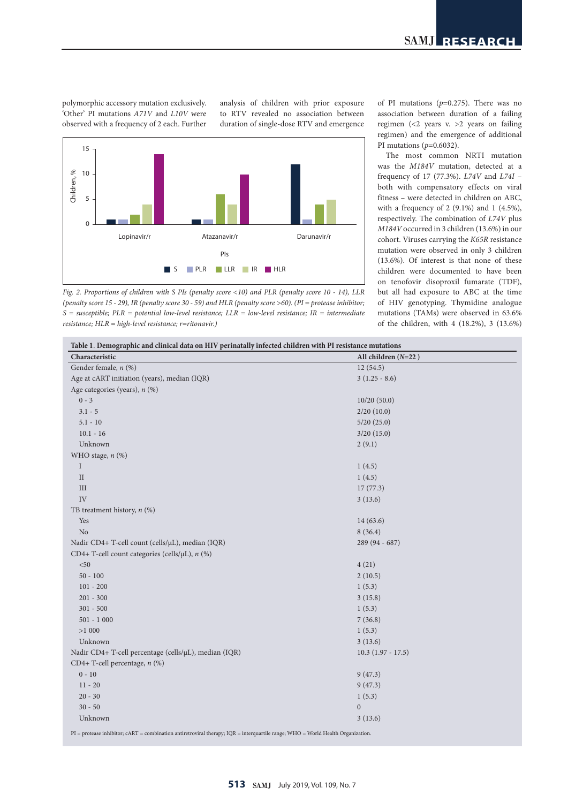polymorphic accessory mutation exclusively. 'Other' PI mutations *A71V* and *L10V* were observed with a frequency of 2 each. Further

ively. analysis of children with prior exposure to RTV revealed no association between duration of single-dose RTV and emergence



*Fig. 2. Proportions of children with S PIs (penalty score <10) and PLR (penalty score 10 - 14), LLR (penalty score 15 - 29), IR (penalty score 30 - 59) and HLR (penalty score >60). (PI = protease inhibitor; S = susceptible; PLR = potential low-level resistance; LLR = low-level resistance; IR = intermediate resistance; HLR = high-level resistance; r=ritonavir.)*

of PI mutations (*p*=0.275). There was no association between duration of a failing regimen (<2 years v. >2 years on failing regimen) and the emergence of additional PI mutations (*p*=0.6032).

The most common NRTI mutation was the *M184V* mutation, detected at a frequency of 17 (77.3%). *L74V* and *L74I* – both with compensatory effects on viral fitness – were detected in children on ABC, with a frequency of 2 (9.1%) and 1 (4.5%), respectively. The combination of *L74V* plus *M184V* occurred in 3 children (13.6%) in our cohort. Viruses carrying the *K65R* resistance mutation were observed in only 3 children (13.6%). Of interest is that none of these children were documented to have been on tenofovir disoproxil fumarate (TDF), but all had exposure to ABC at the time of HIV genotyping. Thymidine analogue mutations (TAMs) were observed in 63.6% of the children, with 4 (18.2%), 3 (13.6%)

| Characteristic                                        | All children $(N=22)$ |  |
|-------------------------------------------------------|-----------------------|--|
| Gender female, n (%)                                  | 12(54.5)              |  |
| Age at cART initiation (years), median (IQR)          | $3(1.25 - 8.6)$       |  |
| Age categories (years), $n$ (%)                       |                       |  |
| $0 - 3$                                               | 10/20(50.0)           |  |
| $3.1 - 5$                                             | 2/20(10.0)            |  |
| $5.1 - 10$                                            | 5/20(25.0)            |  |
| $10.1 - 16$                                           | 3/20(15.0)            |  |
| Unknown                                               | 2(9.1)                |  |
| WHO stage, n (%)                                      |                       |  |
| $\mathbf I$                                           | 1(4.5)                |  |
| $\rm II$                                              | 1(4.5)                |  |
| III                                                   | 17(77.3)              |  |
| IV                                                    | 3(13.6)               |  |
| TB treatment history, $n$ (%)                         |                       |  |
| Yes                                                   | 14(63.6)              |  |
| N <sub>o</sub>                                        | 8(36.4)               |  |
| Nadir CD4+ T-cell count (cells/µL), median (IQR)      | 289 (94 - 687)        |  |
| CD4+ T-cell count categories (cells/µL), n (%)        |                       |  |
| $< 50$                                                | 4(21)                 |  |
| $50 - 100$                                            | 2(10.5)               |  |
| $101 - 200$                                           | 1(5.3)                |  |
| $201 - 300$                                           | 3(15.8)               |  |
| $301 - 500$                                           | 1(5.3)                |  |
| $501 - 1000$                                          | 7(36.8)               |  |
| >1000                                                 | 1(5.3)                |  |
| Unknown                                               | 3(13.6)               |  |
| Nadir CD4+ T-cell percentage (cells/µL), median (IQR) | $10.3(1.97 - 17.5)$   |  |
| CD4+ T-cell percentage, $n$ (%)                       |                       |  |
| $0 - 10$                                              | 9(47.3)               |  |
| $11 - 20$                                             | 9(47.3)               |  |
| $20 - 30$                                             | 1(5.3)                |  |
| $30 - 50$                                             | $\mathbf{0}$          |  |
| Unknown                                               | 3(13.6)               |  |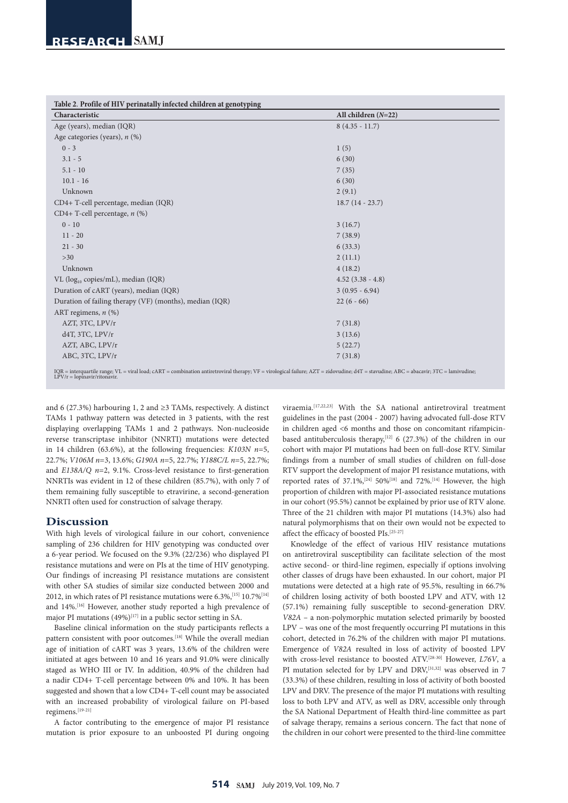| Characteristic                                          | All children $(N=22)$ |  |
|---------------------------------------------------------|-----------------------|--|
| Age (years), median (IQR)                               | $8(4.35 - 11.7)$      |  |
| Age categories (years), $n$ (%)                         |                       |  |
| $0 - 3$                                                 | 1(5)                  |  |
| $3.1 - 5$                                               | 6(30)                 |  |
| $5.1 - 10$                                              | 7(35)                 |  |
| $10.1 - 16$                                             | 6(30)                 |  |
| Unknown                                                 | 2(9.1)                |  |
| CD4+ T-cell percentage, median (IQR)                    | $18.7(14 - 23.7)$     |  |
| CD4+ T-cell percentage, $n$ (%)                         |                       |  |
| $0 - 10$                                                | 3(16.7)               |  |
| $11 - 20$                                               | 7(38.9)               |  |
| $21 - 30$                                               | 6(33.3)               |  |
| $>30$                                                   | 2(11.1)               |  |
| Unknown                                                 | 4(18.2)               |  |
| VL ( $log_{10}$ copies/mL), median (IQR)                | $4.52$ $(3.38 - 4.8)$ |  |
| Duration of cART (years), median (IQR)                  | $3(0.95 - 6.94)$      |  |
| Duration of failing therapy (VF) (months), median (IQR) | $22(6 - 66)$          |  |
| ART regimens, $n$ (%)                                   |                       |  |
| AZT, 3TC, LPV/r                                         | 7(31.8)               |  |
| $d4T$ , $3TC$ , $LPV/r$                                 | 3(13.6)               |  |
| AZT, ABC, LPV/r                                         | 5(22.7)               |  |
| ABC, 3TC, LPV/r                                         | 7(31.8)               |  |

and 6 (27.3%) harbouring 1, 2 and ≥3 TAMs, respectively. A distinct TAMs 1 pathway pattern was detected in 3 patients, with the rest displaying overlapping TAMs 1 and 2 pathways. Non-nucleoside reverse transcriptase inhibitor (NNRTI) mutations were detected in 14 children (63.6%), at the following frequencies: *K103N n*=5, 22.7%; *V106M n*=3, 13.6%; *G190A n*=5, 22.7%; *Y188C/L n*=5, 22.7%; and *E138A/Q n*=2, 9.1%. Cross-level resistance to first-generation NNRTIs was evident in 12 of these children (85.7%), with only 7 of them remaining fully susceptible to etravirine, a second-generation NNRTI often used for construction of salvage therapy.

# **Discussion**

With high levels of virological failure in our cohort, convenience sampling of 236 children for HIV genotyping was conducted over a 6-year period. We focused on the 9.3% (22/236) who displayed PI resistance mutations and were on PIs at the time of HIV genotyping. Our findings of increasing PI resistance mutations are consistent with other SA studies of similar size conducted between 2000 and 2012, in which rates of PI resistance mutations were  $6.3\%$ , [15]  $10.7\%$ <sup>[14]</sup> and 14%.[16] However, another study reported a high prevalence of major PI mutations  $(49\%)^{[17]}$  in a public sector setting in SA.

Baseline clinical information on the study participants reflects a pattern consistent with poor outcomes.<sup>[18]</sup> While the overall median age of initiation of cART was 3 years, 13.6% of the children were initiated at ages between 10 and 16 years and 91.0% were clinically staged as WHO III or IV. In addition, 40.9% of the children had a nadir CD4+ T-cell percentage between 0% and 10%. It has been suggested and shown that a low CD4+ T-cell count may be associated with an increased probability of virological failure on PI-based regimens.[19-21]

A factor contributing to the emergence of major PI resistance mutation is prior exposure to an unboosted PI during ongoing

viraemia.[17,22,23] With the SA national antiretroviral treatment guidelines in the past (2004 - 2007) having advocated full-dose RTV in children aged <6 months and those on concomitant rifampicinbased antituberculosis therapy,<sup>[12]</sup> 6 (27.3%) of the children in our cohort with major PI mutations had been on full-dose RTV. Similar findings from a number of small studies of children on full-dose RTV support the development of major PI resistance mutations, with reported rates of  $37.1\%/^{24}$  50%<sup>[18]</sup> and 72%.<sup>[14]</sup> However, the high proportion of children with major PI-associated resistance mutations in our cohort (95.5%) cannot be explained by prior use of RTV alone. Three of the 21 children with major PI mutations (14.3%) also had natural polymorphisms that on their own would not be expected to affect the efficacy of boosted PIs.[25-27]

Knowledge of the effect of various HIV resistance mutations on antiretroviral susceptibility can facilitate selection of the most active second- or third-line regimen, especially if options involving other classes of drugs have been exhausted. In our cohort, major PI mutations were detected at a high rate of 95.5%, resulting in 66.7% of children losing activity of both boosted LPV and ATV, with 12 (57.1%) remaining fully susceptible to second-generation DRV. *V82A* – a non-polymorphic mutation selected primarily by boosted LPV – was one of the most frequently occurring PI mutations in this cohort, detected in 76.2% of the children with major PI mutations. Emergence of *V82A* resulted in loss of activity of boosted LPV with cross-level resistance to boosted ATV.[28-30] However, *L76V*, a PI mutation selected for by LPV and DRV,<sup>[31,32]</sup> was observed in 7 (33.3%) of these children, resulting in loss of activity of both boosted LPV and DRV. The presence of the major PI mutations with resulting loss to both LPV and ATV, as well as DRV, accessible only through the SA National Department of Health third-line committee as part of salvage therapy, remains a serious concern. The fact that none of the children in our cohort were presented to the third-line committee